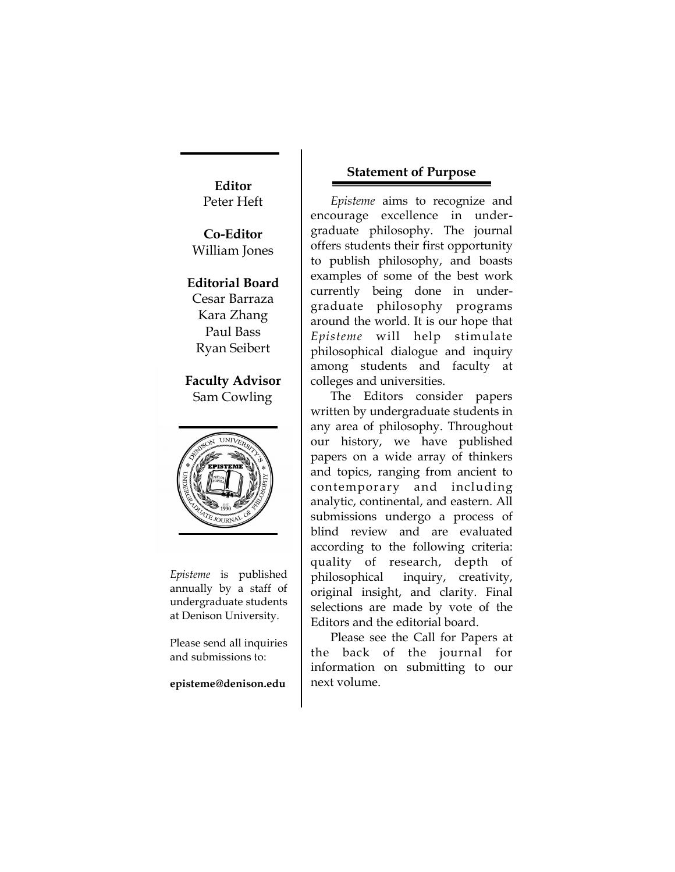**Editor** Peter Heft

**Co-Editor** William Jones

## **Editorial Board**

Cesar Barraza Kara Zhang Paul Bass Ryan Seibert

**Faculty Advisor** Sam Cowling



*Episteme* is published annually by a staff of undergraduate students at Denison University.

Please send all inquiries and submissions to:

#### **episteme@denison.edu**

### **Statement of Purpose**

*Episteme* aims to recognize and encourage excellence in undergraduate philosophy. The journal offers students their first opportunity to publish philosophy, and boasts examples of some of the best work currently being done in undergraduate philosophy programs around the world. It is our hope that *Episteme* will help stimulate philosophical dialogue and inquiry among students and faculty at colleges and universities.

The Editors consider papers written by undergraduate students in any area of philosophy. Throughout our history, we have published papers on a wide array of thinkers and topics, ranging from ancient to contemporary and including analytic, continental, and eastern. All submissions undergo a process of blind review and are evaluated according to the following criteria: quality of research, depth of philosophical inquiry, creativity, original insight, and clarity. Final selections are made by vote of the Editors and the editorial board.

Please see the Call for Papers at the back of the journal for information on submitting to our next volume.